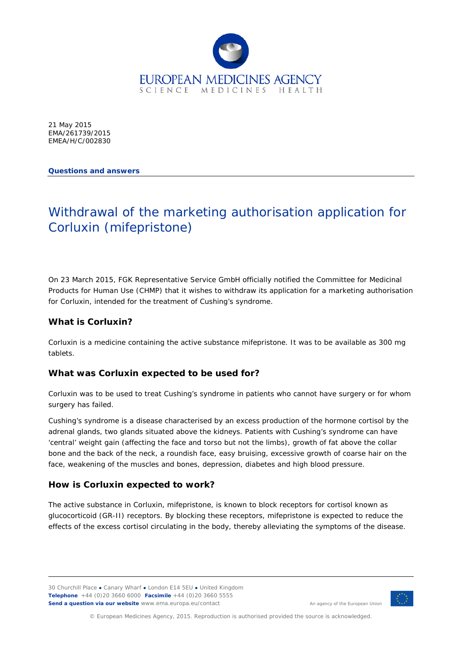

21 May 2015 EMA/261739/2015 EMEA/H/C/002830

**Questions and answers**

# Withdrawal of the marketing authorisation application for Corluxin (mifepristone)

On 23 March 2015, FGK Representative Service GmbH officially notified the Committee for Medicinal Products for Human Use (CHMP) that it wishes to withdraw its application for a marketing authorisation for Corluxin, intended for the treatment of Cushing's syndrome.

# **What is Corluxin?**

Corluxin is a medicine containing the active substance mifepristone. It was to be available as 300 mg tablets.

## **What was Corluxin expected to be used for?**

Corluxin was to be used to treat Cushing's syndrome in patients who cannot have surgery or for whom surgery has failed.

Cushing's syndrome is a disease characterised by an excess production of the hormone cortisol by the adrenal glands, two glands situated above the kidneys. Patients with Cushing's syndrome can have 'central' weight gain (affecting the face and torso but not the limbs), growth of fat above the collar bone and the back of the neck, a roundish face, easy bruising, excessive growth of coarse hair on the face, weakening of the muscles and bones, depression, diabetes and high blood pressure.

## **How is Corluxin expected to work?**

The active substance in Corluxin, mifepristone, is known to block receptors for cortisol known as glucocorticoid (GR-II) receptors. By blocking these receptors, mifepristone is expected to reduce the effects of the excess cortisol circulating in the body, thereby alleviating the symptoms of the disease.

30 Churchill Place **●** Canary Wharf **●** London E14 5EU **●** United Kingdom **Telephone** +44 (0)20 3660 6000 **Facsimile** +44 (0)20 3660 5555 **Send a question via our website** www.ema.europa.eu/contact



An agency of the European Union

© European Medicines Agency, 2015. Reproduction is authorised provided the source is acknowledged.